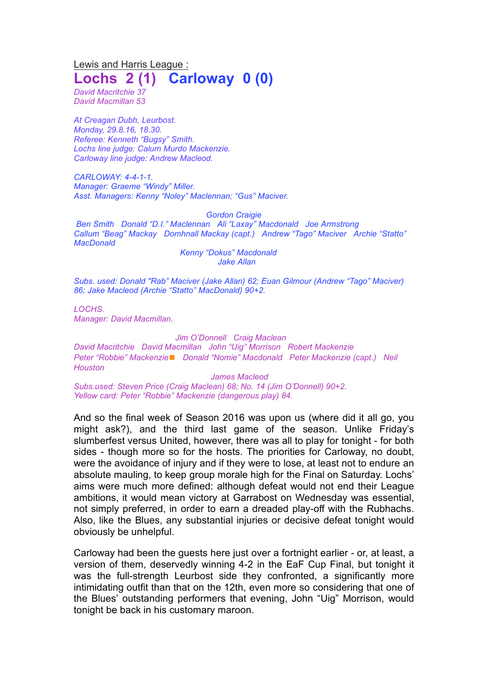Lewis and Harris League : **Lochs 2 (1) Carloway 0 (0)**

*David Macritchie 37 David Macmillan 53*

*At Creagan Dubh, Leurbost. Monday, 29.8.16, 18.30. Referee: Kenneth "Bugsy" Smith. Lochs line judge: Calum Murdo Mackenzie. Carloway line judge: Andrew Macleod.*

*CARLOWAY: 4-4-1-1. Manager: Graeme "Windy" Miller. Asst. Managers: Kenny "Noley" Maclennan; "Gus" Maciver.*

## *Gordon Craigie*

*Ben Smith Donald "D.I." Maclennan Ali "Laxay" Macdonald Joe Armstrong Callum "Beag" Mackay Domhnall Mackay (capt.) Andrew "Tago" Maciver Archie "Statto" MacDonald*

*Kenny "Dokus" Macdonald Jake Allan*

*Subs. used: Donald "Rab" Maciver (Jake Allan) 62; Euan Gilmour (Andrew "Tago" Maciver) 86; Jake Macleod (Archie "Statto" MacDonald) 90+2.*

*LOCHS. Manager: David Macmillan.*

## *Jim O'Donnell Craig Maclean*

*David Macritchie David Macmillan John "Uig" Morrison Robert Mackenzie Peter "Robbie" Mackenzie*◼ *Donald "Nomie" Macdonald Peter Mackenzie (capt.) Neil Houston*

*James Macleod*

*Subs.used: Steven Price (Craig Maclean) 68; No. 14 (Jim O'Donnell) 90+2. Yellow card: Peter "Robbie" Mackenzie (dangerous play) 84.*

And so the final week of Season 2016 was upon us (where did it all go, you might ask?), and the third last game of the season. Unlike Friday's slumberfest versus United, however, there was all to play for tonight - for both sides - though more so for the hosts. The priorities for Carloway, no doubt, were the avoidance of injury and if they were to lose, at least not to endure an absolute mauling, to keep group morale high for the Final on Saturday. Lochs' aims were much more defined: although defeat would not end their League ambitions, it would mean victory at Garrabost on Wednesday was essential, not simply preferred, in order to earn a dreaded play-off with the Rubhachs. Also, like the Blues, any substantial injuries or decisive defeat tonight would obviously be unhelpful.

Carloway had been the guests here just over a fortnight earlier - or, at least, a version of them, deservedly winning 4-2 in the EaF Cup Final, but tonight it was the full-strength Leurbost side they confronted, a significantly more intimidating outfit than that on the 12th, even more so considering that one of the Blues' outstanding performers that evening, John "Uig" Morrison, would tonight be back in his customary maroon.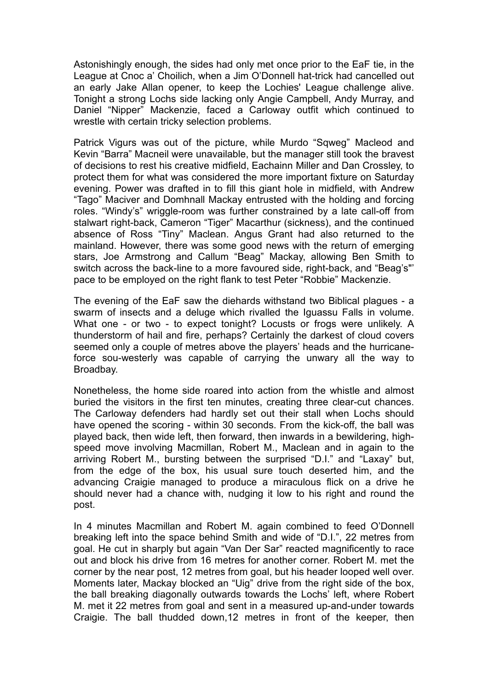Astonishingly enough, the sides had only met once prior to the EaF tie, in the League at Cnoc a' Choilich, when a Jim O'Donnell hat-trick had cancelled out an early Jake Allan opener, to keep the Lochies' League challenge alive. Tonight a strong Lochs side lacking only Angie Campbell, Andy Murray, and Daniel "Nipper" Mackenzie, faced a Carloway outfit which continued to wrestle with certain tricky selection problems.

Patrick Vigurs was out of the picture, while Murdo "Sqweg" Macleod and Kevin "Barra" Macneil were unavailable, but the manager still took the bravest of decisions to rest his creative midfield, Eachainn Miller and Dan Crossley, to protect them for what was considered the more important fixture on Saturday evening. Power was drafted in to fill this giant hole in midfield, with Andrew "Tago" Maciver and Domhnall Mackay entrusted with the holding and forcing roles. "Windy's" wriggle-room was further constrained by a late call-off from stalwart right-back, Cameron "Tiger" Macarthur (sickness), and the continued absence of Ross "Tiny" Maclean. Angus Grant had also returned to the mainland. However, there was some good news with the return of emerging stars, Joe Armstrong and Callum "Beag" Mackay, allowing Ben Smith to switch across the back-line to a more favoured side, right-back, and "Beag's"' pace to be employed on the right flank to test Peter "Robbie" Mackenzie.

The evening of the EaF saw the diehards withstand two Biblical plagues - a swarm of insects and a deluge which rivalled the Iguassu Falls in volume. What one - or two - to expect tonight? Locusts or frogs were unlikely. A thunderstorm of hail and fire, perhaps? Certainly the darkest of cloud covers seemed only a couple of metres above the players' heads and the hurricaneforce sou-westerly was capable of carrying the unwary all the way to Broadbay.

Nonetheless, the home side roared into action from the whistle and almost buried the visitors in the first ten minutes, creating three clear-cut chances. The Carloway defenders had hardly set out their stall when Lochs should have opened the scoring - within 30 seconds. From the kick-off, the ball was played back, then wide left, then forward, then inwards in a bewildering, highspeed move involving Macmillan, Robert M., Maclean and in again to the arriving Robert M., bursting between the surprised "D.I." and "Laxay" but, from the edge of the box, his usual sure touch deserted him, and the advancing Craigie managed to produce a miraculous flick on a drive he should never had a chance with, nudging it low to his right and round the post.

In 4 minutes Macmillan and Robert M. again combined to feed O'Donnell breaking left into the space behind Smith and wide of "D.I.", 22 metres from goal. He cut in sharply but again "Van Der Sar" reacted magnificently to race out and block his drive from 16 metres for another corner. Robert M. met the corner by the near post, 12 metres from goal, but his header looped well over. Moments later, Mackay blocked an "Uig" drive from the right side of the box, the ball breaking diagonally outwards towards the Lochs' left, where Robert M. met it 22 metres from goal and sent in a measured up-and-under towards Craigie. The ball thudded down,12 metres in front of the keeper, then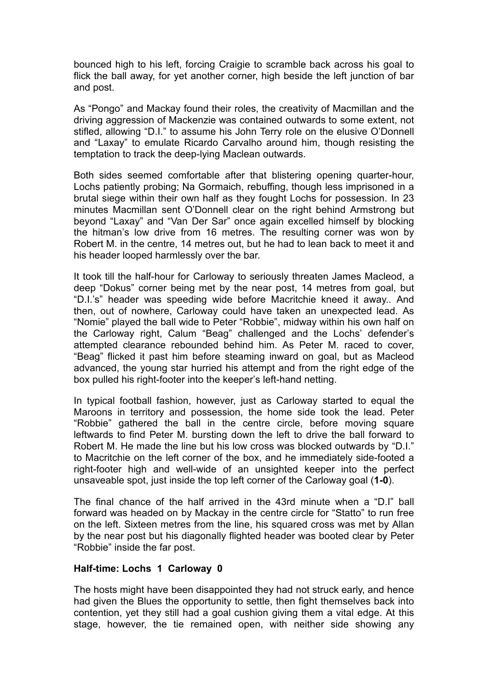bounced high to his left, forcing Craigie to scramble back across his goal to flick the ball away, for yet another corner, high beside the left junction of bar and post.

As "Pongo" and Mackay found their roles, the creativity of Macmillan and the driving aggression of Mackenzie was contained outwards to some extent, not stifled, allowing "D.I." to assume his John Terry role on the elusive O'Donnell and "Laxay" to emulate Ricardo Carvalho around him, though resisting the temptation to track the deep-lying Maclean outwards.

Both sides seemed comfortable after that blistering opening quarter-hour, Lochs patiently probing; Na Gormaich, rebuffing, though less imprisoned in a brutal siege within their own half as they fought Lochs for possession. In 23 minutes Macmillan sent O'Donnell clear on the right behind Armstrong but beyond "Laxay" and "Van Der Sar" once again excelled himself by blocking the hitman's low drive from 16 metres. The resulting corner was won by Robert M. in the centre, 14 metres out, but he had to lean back to meet it and his header looped harmlessly over the bar.

It took till the half-hour for Carloway to seriously threaten James Macleod, a deep "Dokus" corner being met by the near post, 14 metres from goal, but "D.I.'s" header was speeding wide before Macritchie kneed it away.. And then, out of nowhere, Carloway could have taken an unexpected lead. As "Nomie" played the ball wide to Peter "Robbie", midway within his own half on the Carloway right, Calum "Beag" challenged and the Lochs' defender's attempted clearance rebounded behind him. As Peter M. raced to cover, "Beag" flicked it past him before steaming inward on goal, but as Macleod advanced, the young star hurried his attempt and from the right edge of the box pulled his right-footer into the keeper's left-hand netting.

In typical football fashion, however, just as Carloway started to equal the Maroons in territory and possession, the home side took the lead. Peter "Robbie" gathered the ball in the centre circle, before moving square leftwards to find Peter M. bursting down the left to drive the ball forward to Robert M. He made the line but his low cross was blocked outwards by "D.I." to Macritchie on the left corner of the box, and he immediately side-footed a right-footer high and well-wide of an unsighted keeper into the perfect unsaveable spot, just inside the top left corner of the Carloway goal (**1-0**).

The final chance of the half arrived in the 43rd minute when a "D.I" ball forward was headed on by Mackay in the centre circle for "Statto" to run free on the left. Sixteen metres from the line, his squared cross was met by Allan by the near post but his diagonally flighted header was booted clear by Peter "Robbie" inside the far post.

## **Half-time: Lochs 1 Carloway 0**

The hosts might have been disappointed they had not struck early, and hence had given the Blues the opportunity to settle, then fight themselves back into contention, yet they still had a goal cushion giving them a vital edge. At this stage, however, the tie remained open, with neither side showing any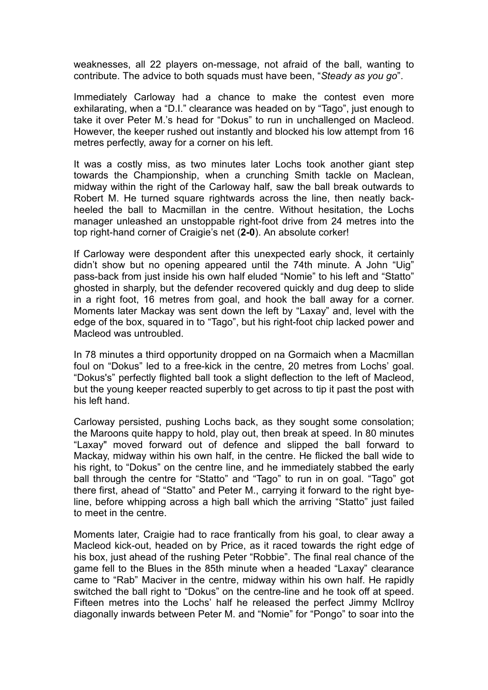weaknesses, all 22 players on-message, not afraid of the ball, wanting to contribute. The advice to both squads must have been, "*Steady as you go*".

Immediately Carloway had a chance to make the contest even more exhilarating, when a "D.I." clearance was headed on by "Tago", just enough to take it over Peter M.'s head for "Dokus" to run in unchallenged on Macleod. However, the keeper rushed out instantly and blocked his low attempt from 16 metres perfectly, away for a corner on his left.

It was a costly miss, as two minutes later Lochs took another giant step towards the Championship, when a crunching Smith tackle on Maclean, midway within the right of the Carloway half, saw the ball break outwards to Robert M. He turned square rightwards across the line, then neatly backheeled the ball to Macmillan in the centre. Without hesitation, the Lochs manager unleashed an unstoppable right-foot drive from 24 metres into the top right-hand corner of Craigie's net (**2-0**). An absolute corker!

If Carloway were despondent after this unexpected early shock, it certainly didn't show but no opening appeared until the 74th minute. A John "Uig" pass-back from just inside his own half eluded "Nomie" to his left and "Statto" ghosted in sharply, but the defender recovered quickly and dug deep to slide in a right foot, 16 metres from goal, and hook the ball away for a corner. Moments later Mackay was sent down the left by "Laxay" and, level with the edge of the box, squared in to "Tago", but his right-foot chip lacked power and Macleod was untroubled.

In 78 minutes a third opportunity dropped on na Gormaich when a Macmillan foul on "Dokus" led to a free-kick in the centre, 20 metres from Lochs' goal. "Dokus's" perfectly flighted ball took a slight deflection to the left of Macleod, but the young keeper reacted superbly to get across to tip it past the post with his left hand.

Carloway persisted, pushing Lochs back, as they sought some consolation; the Maroons quite happy to hold, play out, then break at speed. In 80 minutes "Laxay" moved forward out of defence and slipped the ball forward to Mackay, midway within his own half, in the centre. He flicked the ball wide to his right, to "Dokus" on the centre line, and he immediately stabbed the early ball through the centre for "Statto" and "Tago" to run in on goal. "Tago" got there first, ahead of "Statto" and Peter M., carrying it forward to the right byeline, before whipping across a high ball which the arriving "Statto" just failed to meet in the centre.

Moments later, Craigie had to race frantically from his goal, to clear away a Macleod kick-out, headed on by Price, as it raced towards the right edge of his box, just ahead of the rushing Peter "Robbie". The final real chance of the game fell to the Blues in the 85th minute when a headed "Laxay" clearance came to "Rab" Maciver in the centre, midway within his own half. He rapidly switched the ball right to "Dokus" on the centre-line and he took off at speed. Fifteen metres into the Lochs' half he released the perfect Jimmy McIlroy diagonally inwards between Peter M. and "Nomie" for "Pongo" to soar into the